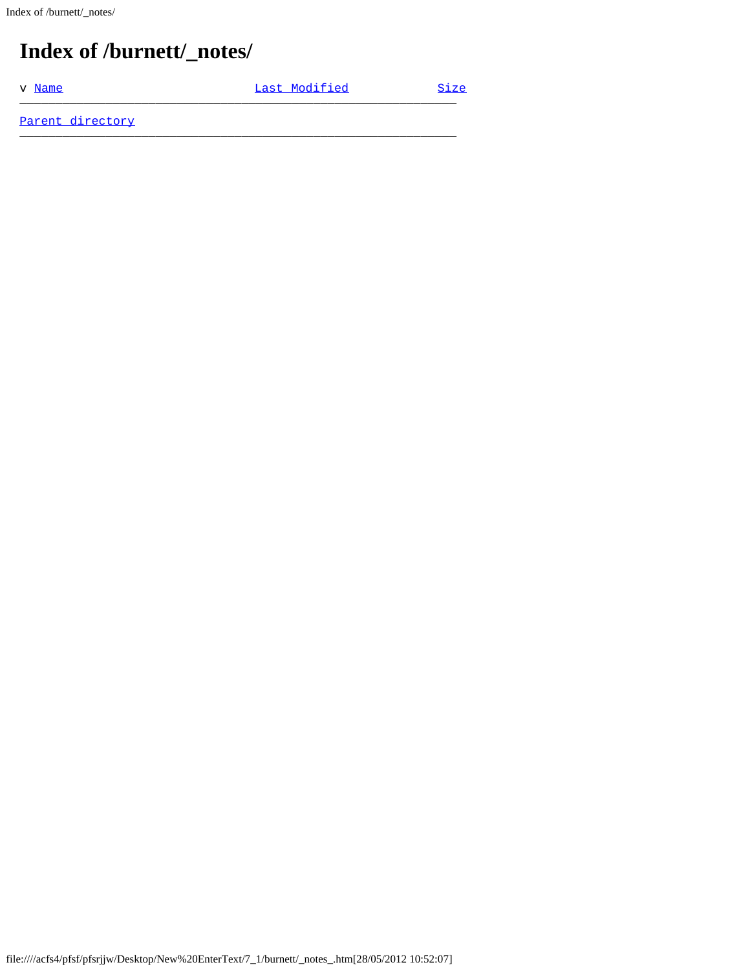Index of /burnett/\_notes/

## **Index of /burnett/\_notes/**

| v Name           | Last Modified | Size |
|------------------|---------------|------|
| Parent directory |               |      |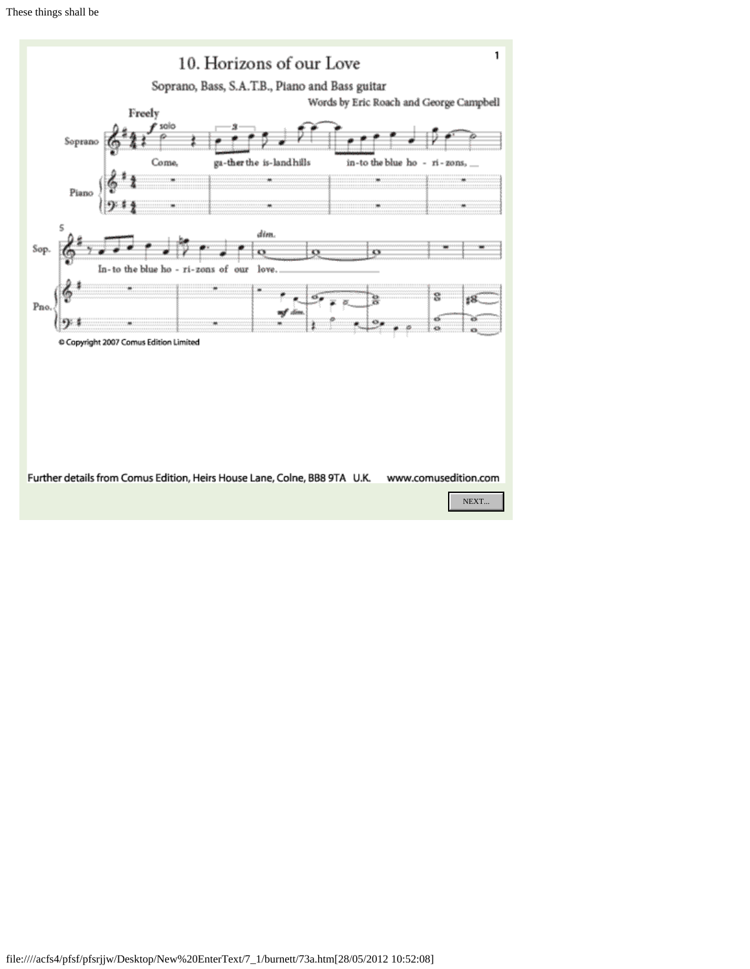| 10. Horizons of our Love                                                                          |  |
|---------------------------------------------------------------------------------------------------|--|
| Soprano, Bass, S.A.T.B., Piano and Bass guitar<br>Words by Eric Roach and George Campbell         |  |
| Freely<br>solo                                                                                    |  |
| Soprano<br>Come,<br>ga-ther the is-land hills<br>in-to the blue ho - ri-zons,                     |  |
| <br>,,,,,,,,,,,,,,,,,,,,,,,,<br><br>Piano                                                         |  |
| 5<br>dim.                                                                                         |  |
| Sop.<br>O<br>In-to the blue ho<br>- ri-zons of our<br>love.                                       |  |
| ж.<br>38<br>ø                                                                                     |  |
| Pno.<br>۰ø<br><br>$\mathbf{r}$                                                                    |  |
| Copyright 2007 Comus Edition Limited                                                              |  |
|                                                                                                   |  |
|                                                                                                   |  |
|                                                                                                   |  |
| Further details from Comus Edition, Heirs House Lane, Colne, BB8 9TA U.K.<br>www.comusedition.com |  |
| NEXT                                                                                              |  |
|                                                                                                   |  |
|                                                                                                   |  |
|                                                                                                   |  |
|                                                                                                   |  |
|                                                                                                   |  |
|                                                                                                   |  |
|                                                                                                   |  |
|                                                                                                   |  |
|                                                                                                   |  |
|                                                                                                   |  |
|                                                                                                   |  |
|                                                                                                   |  |
| file:////acfs4/pfsf/pfsrjjw/Desktop/New%20EnterText/7_1/burnett/73a.htm[28/05/2012 10:52:08]      |  |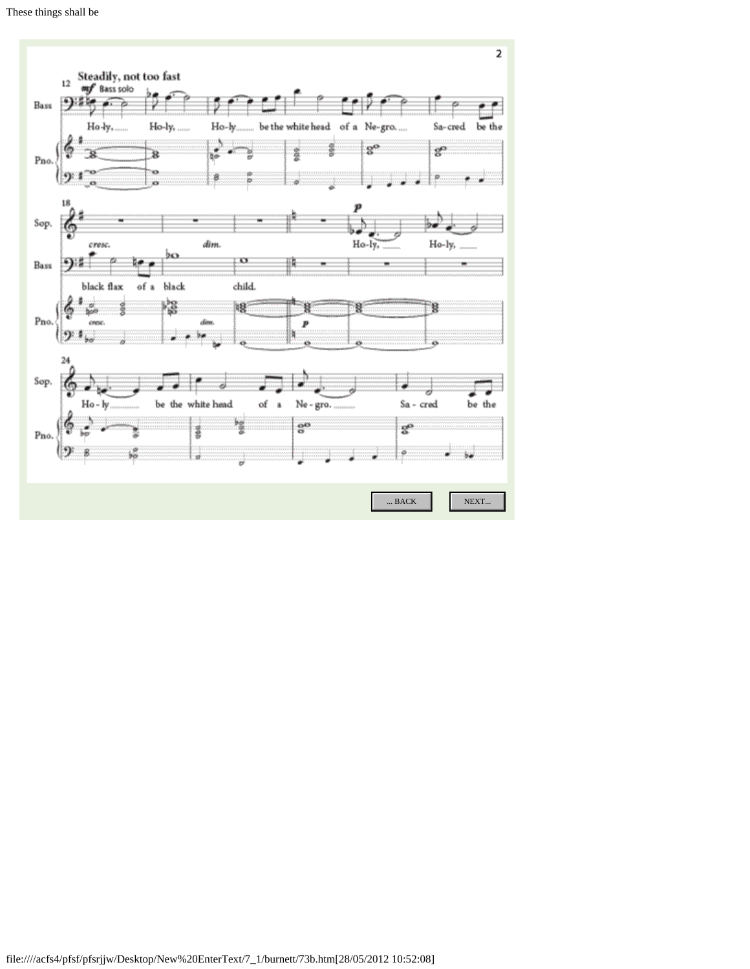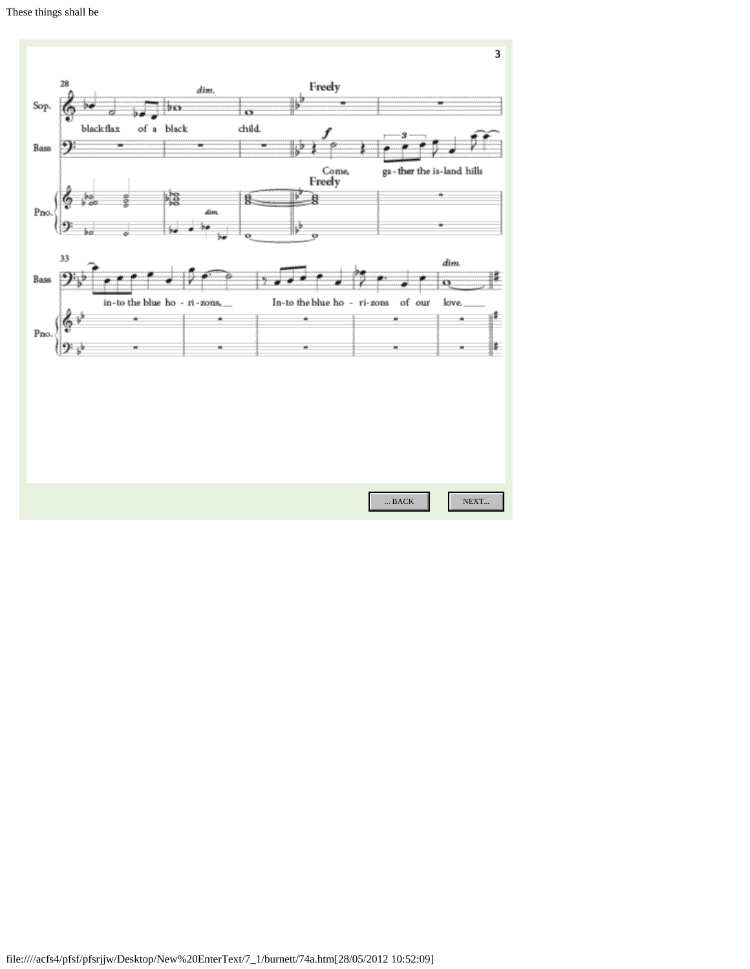These things shall be

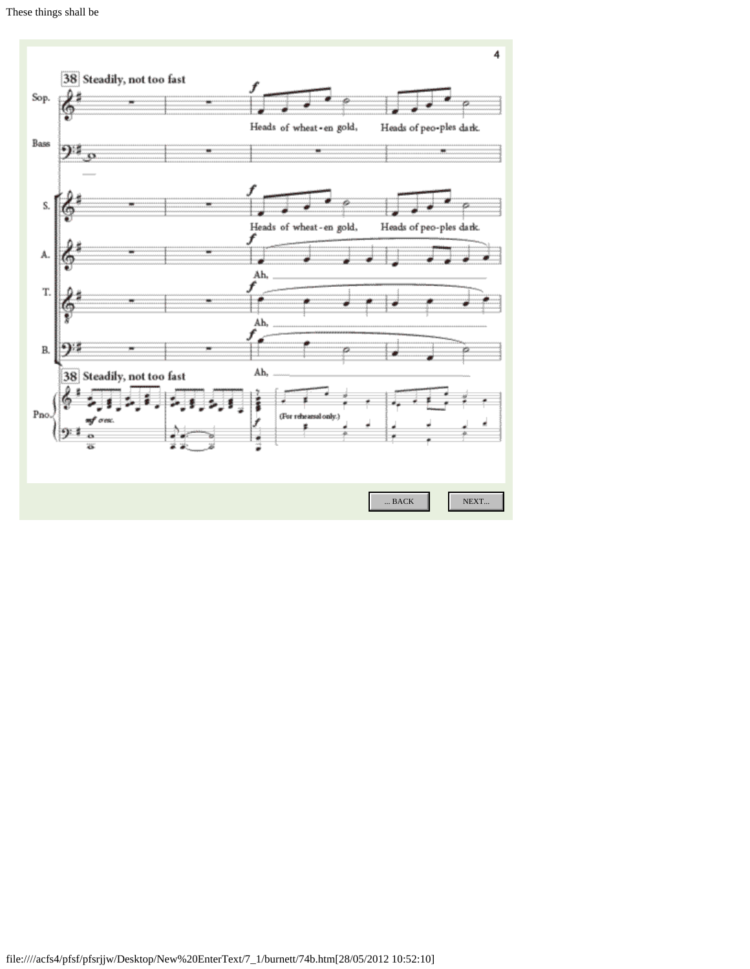

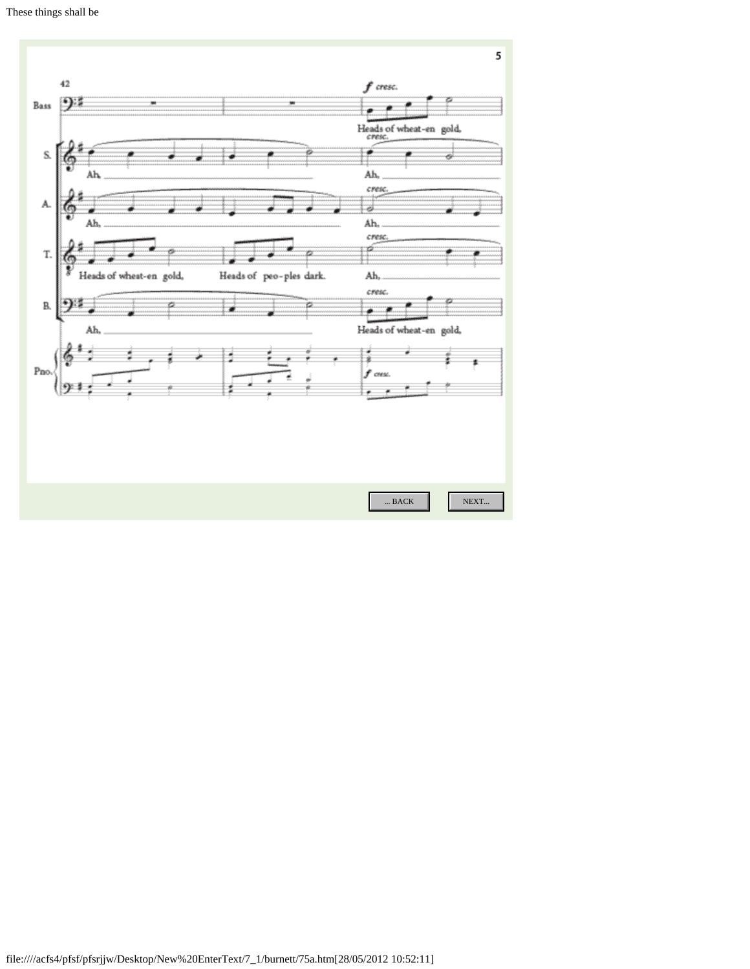

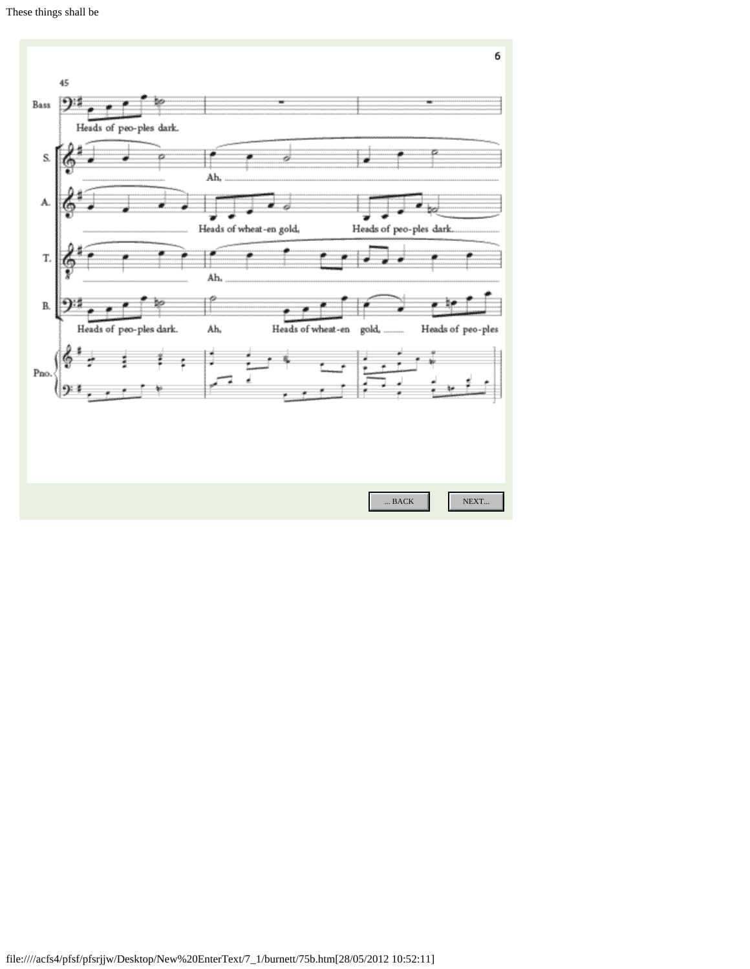

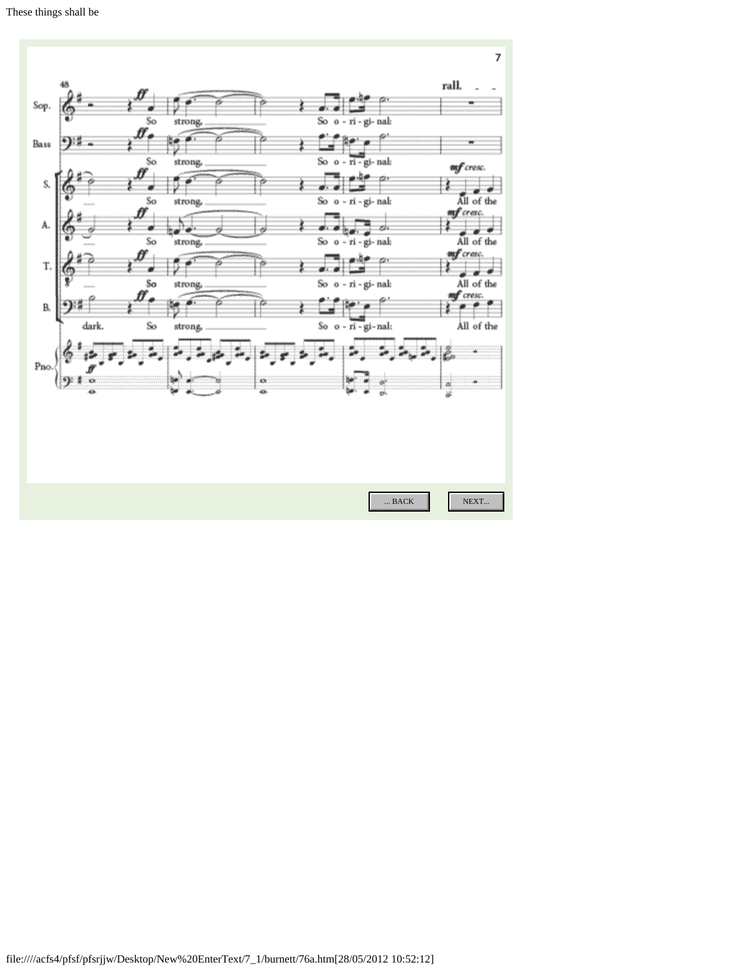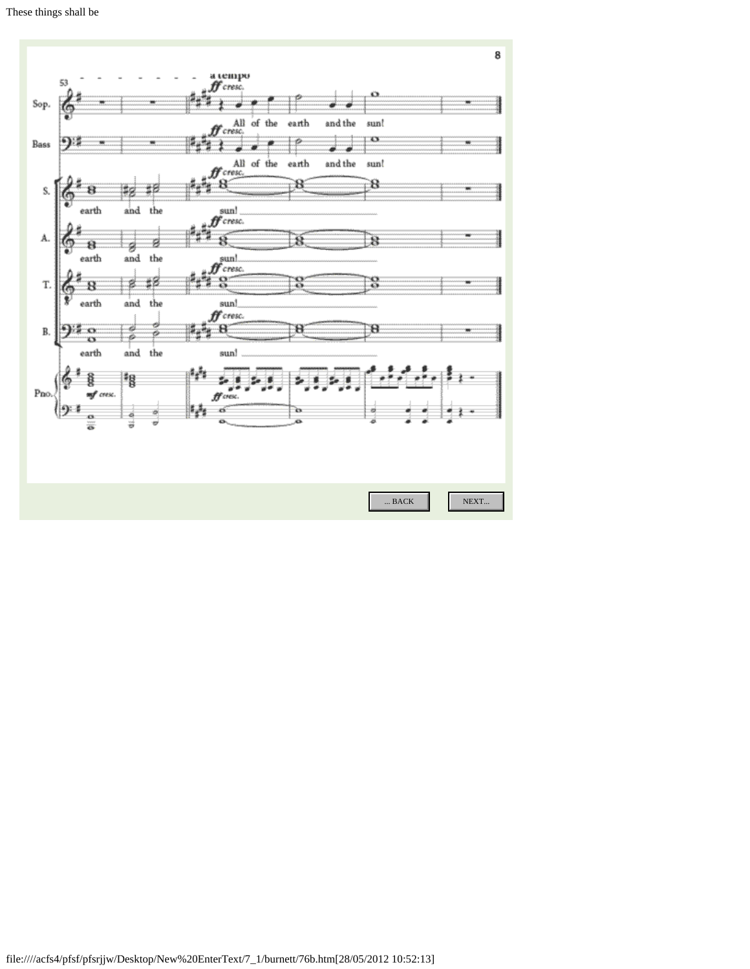These things shall be

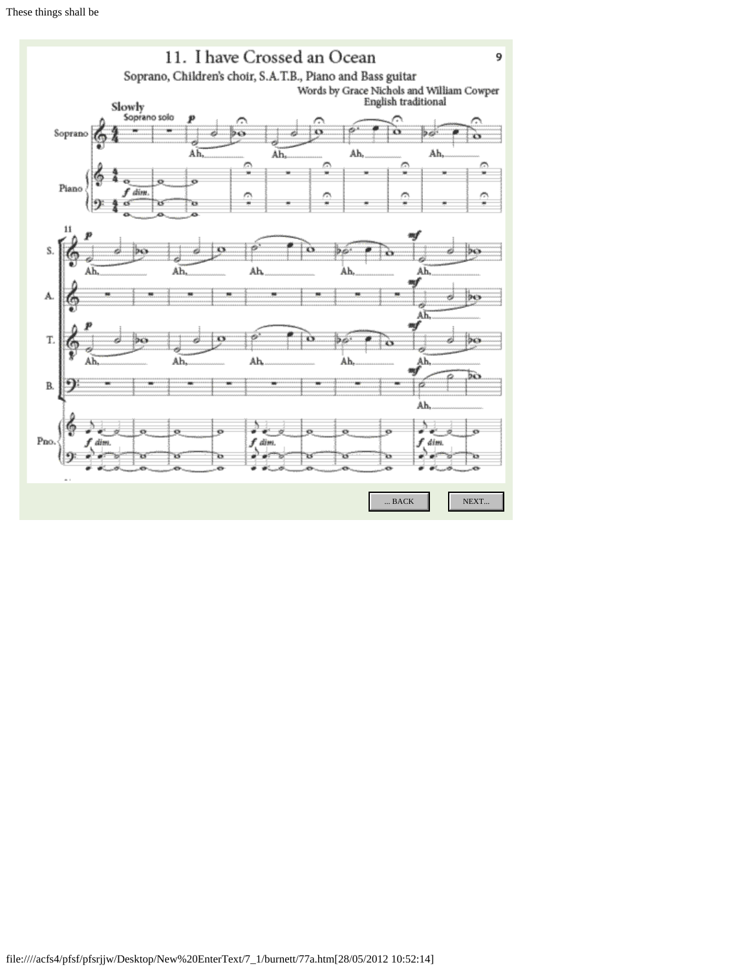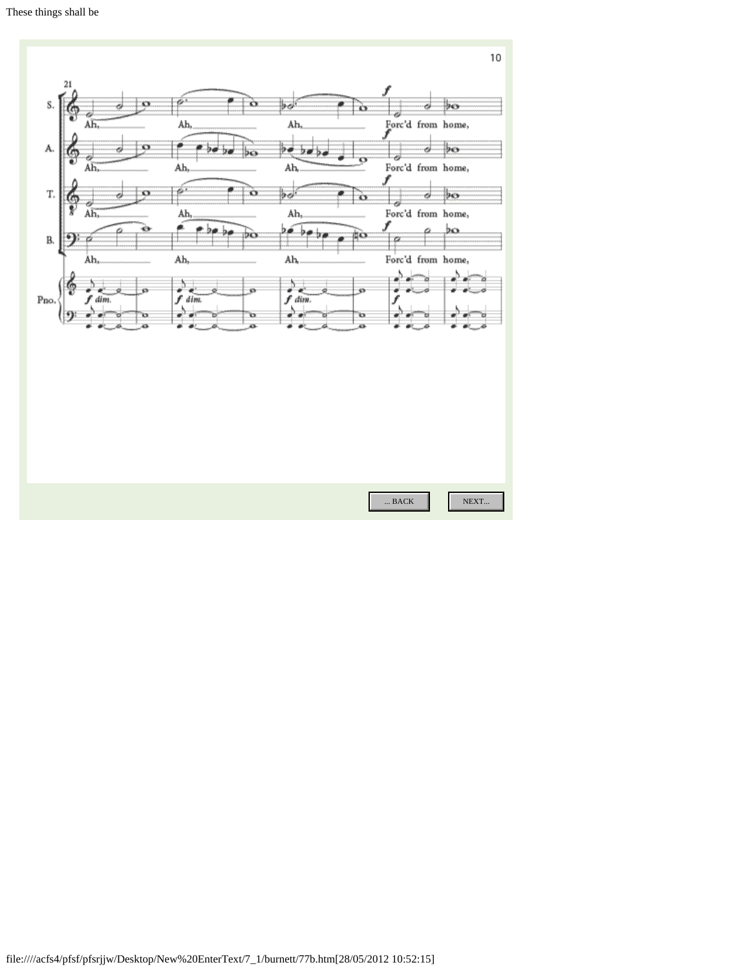

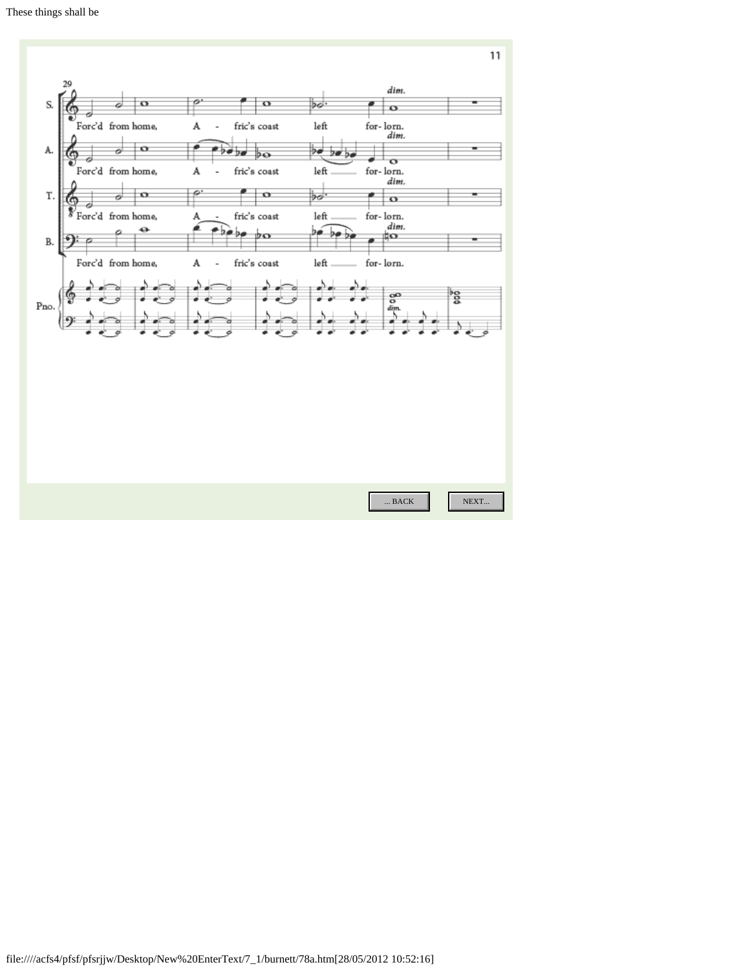

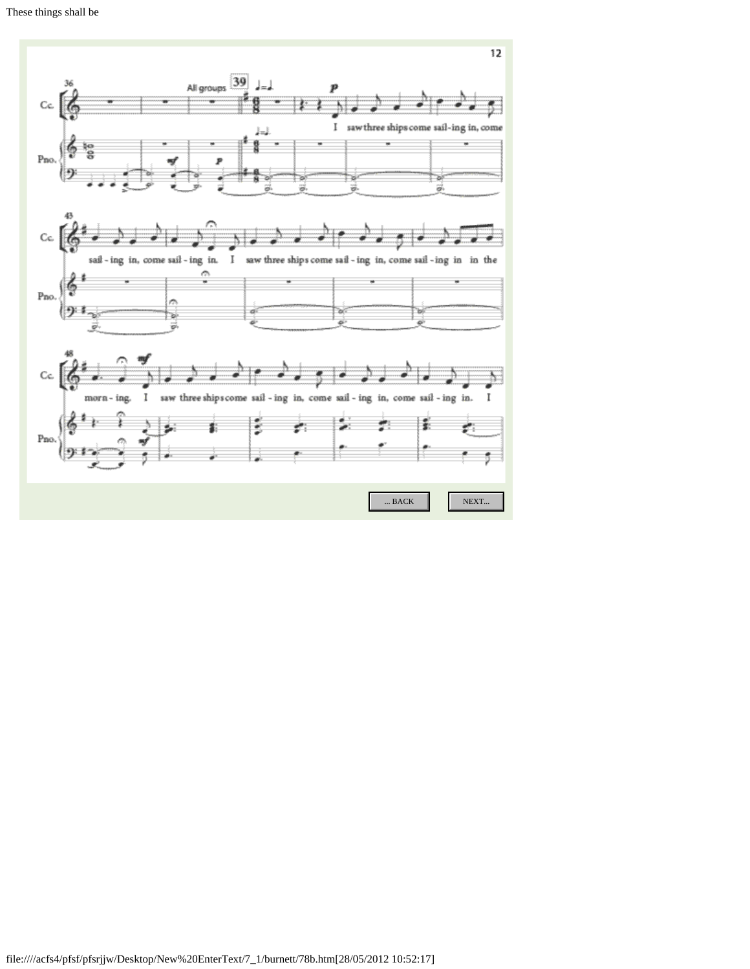These things shall be

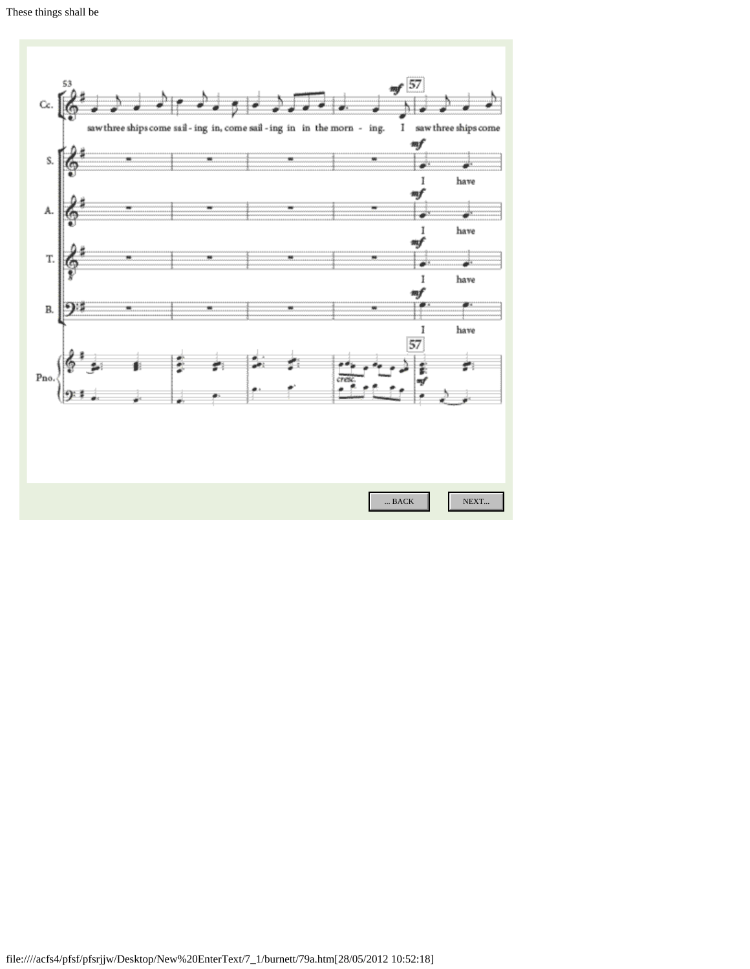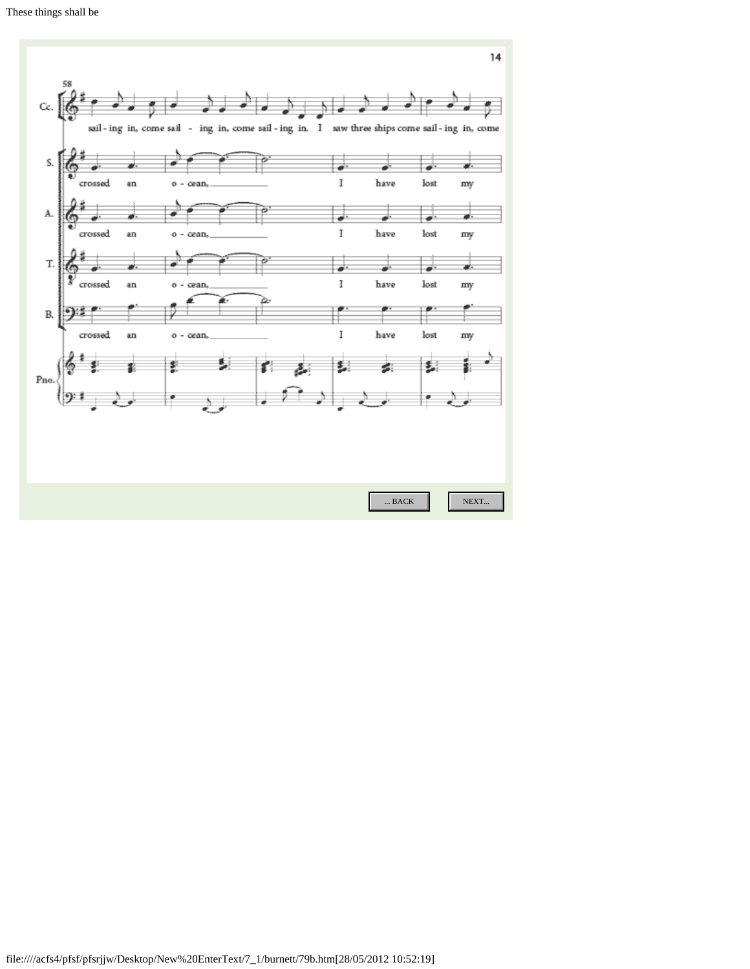These things shall be

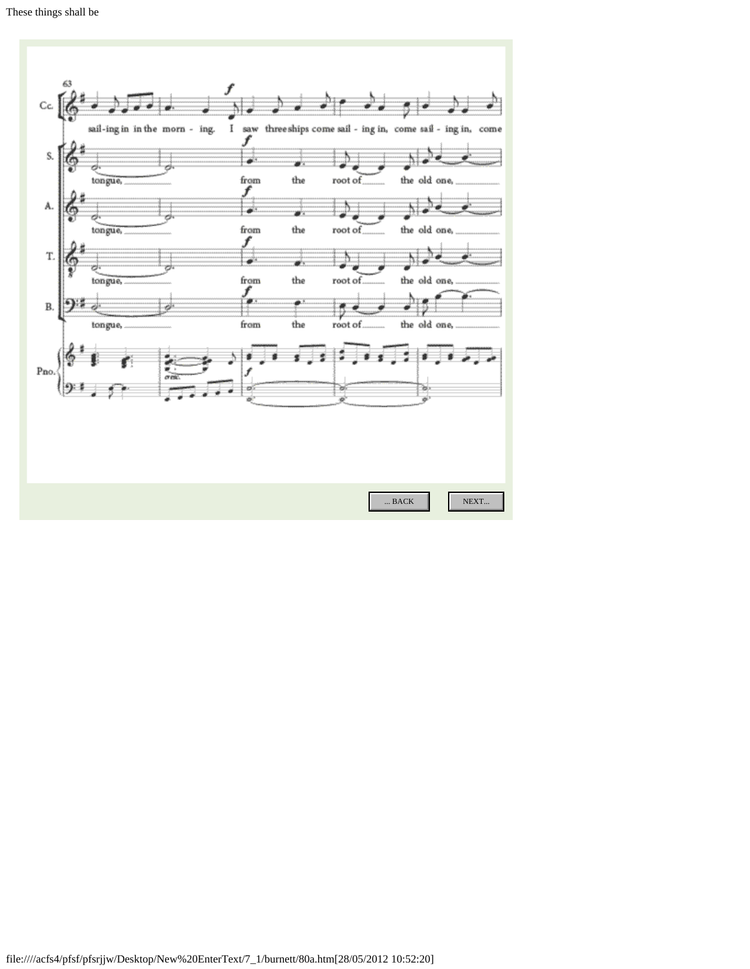These things shall be

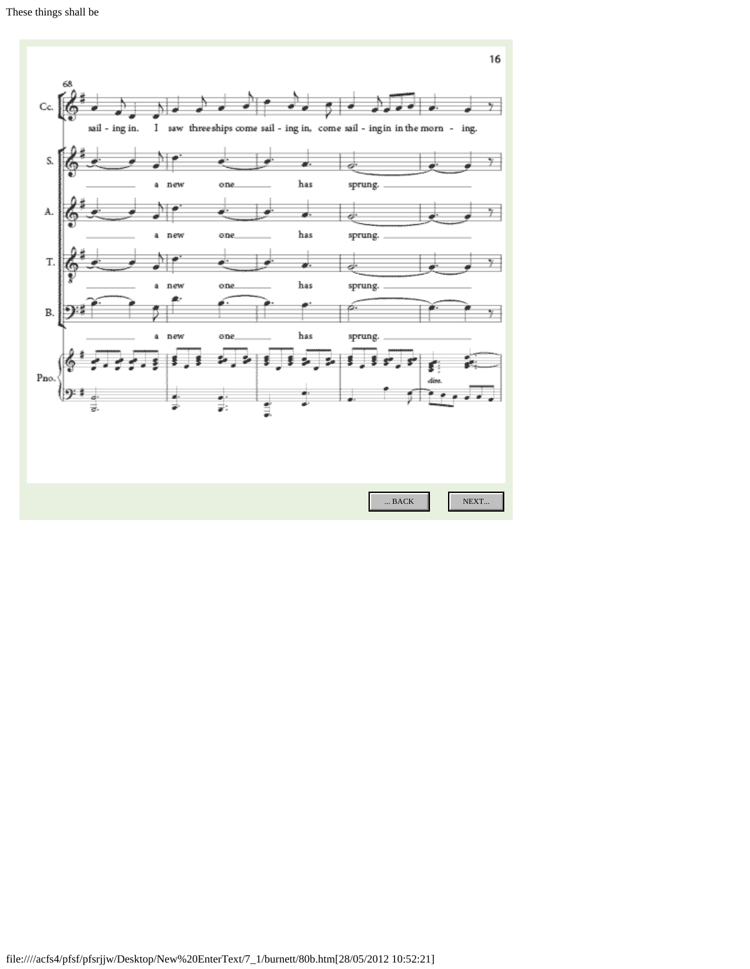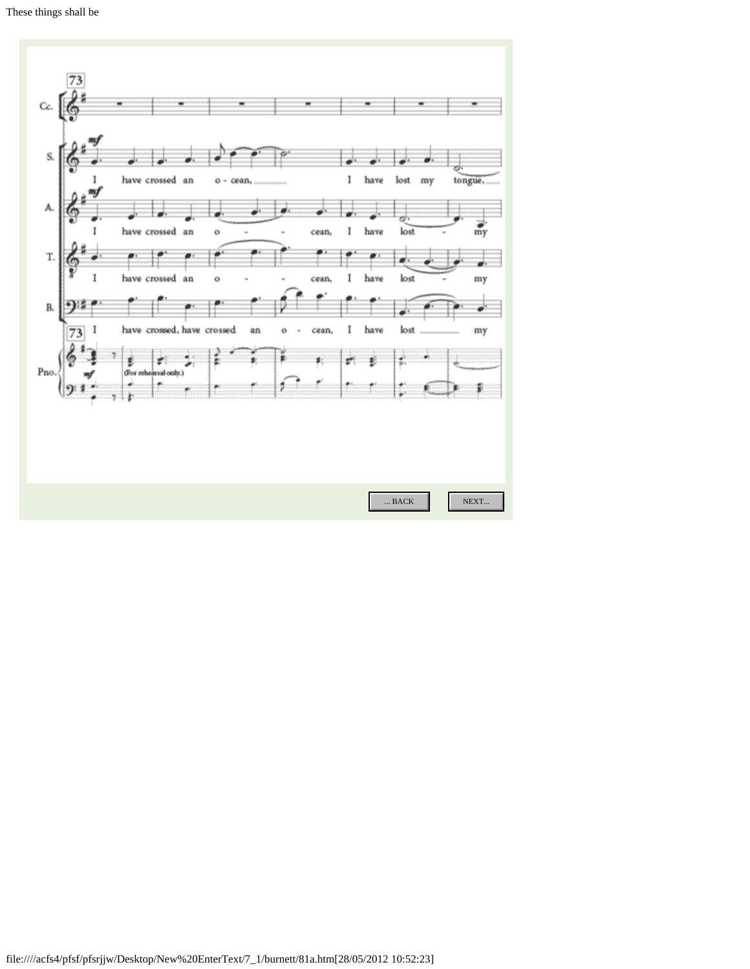

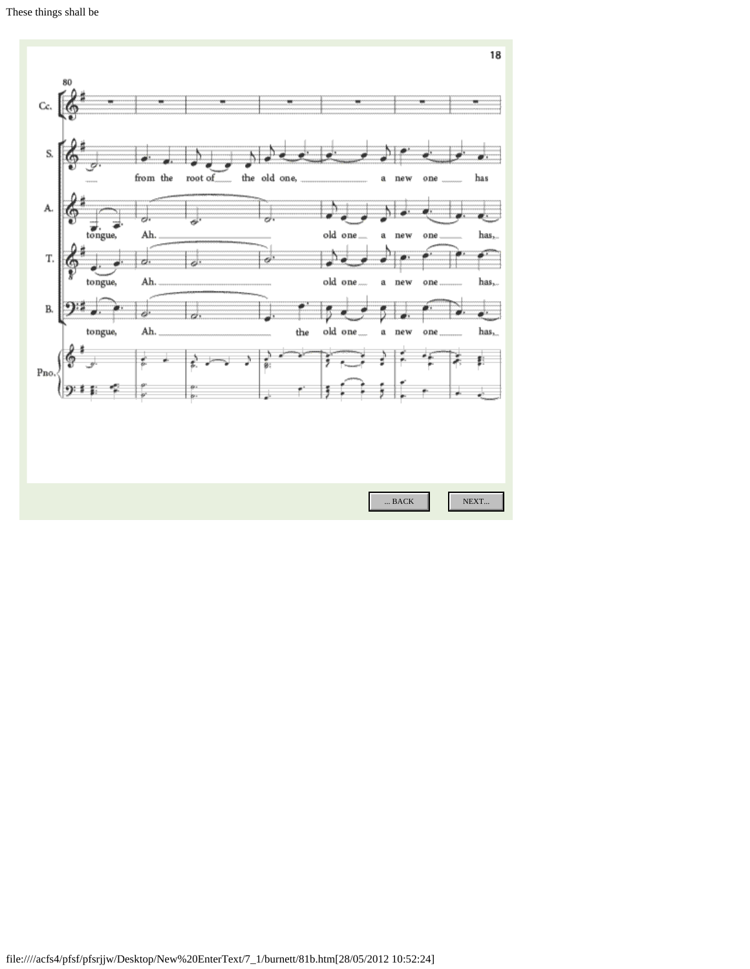

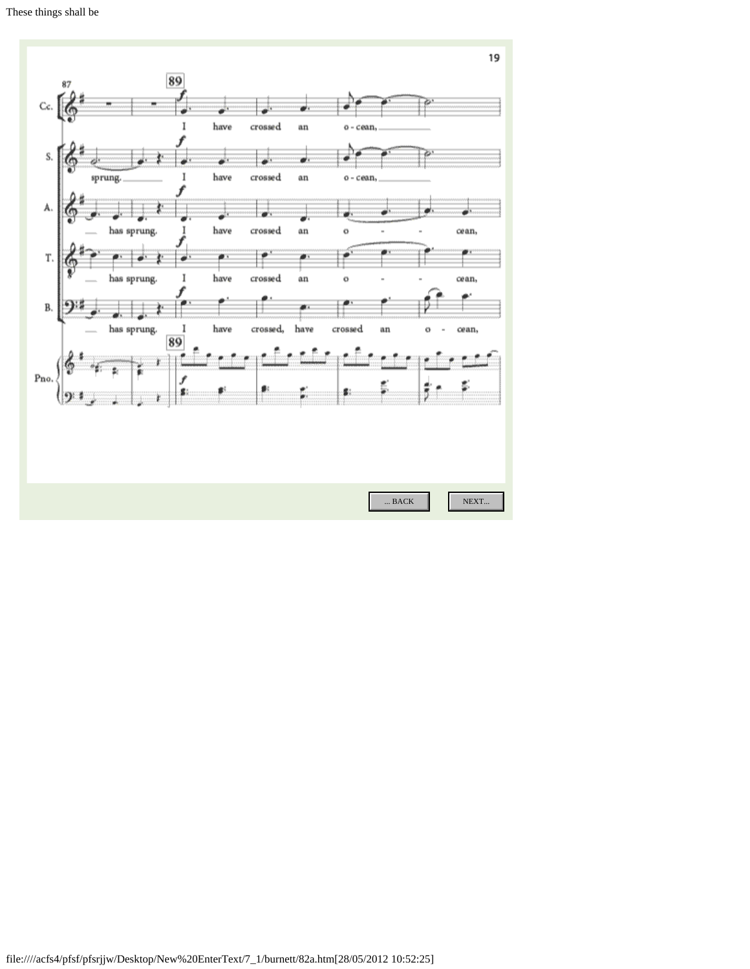

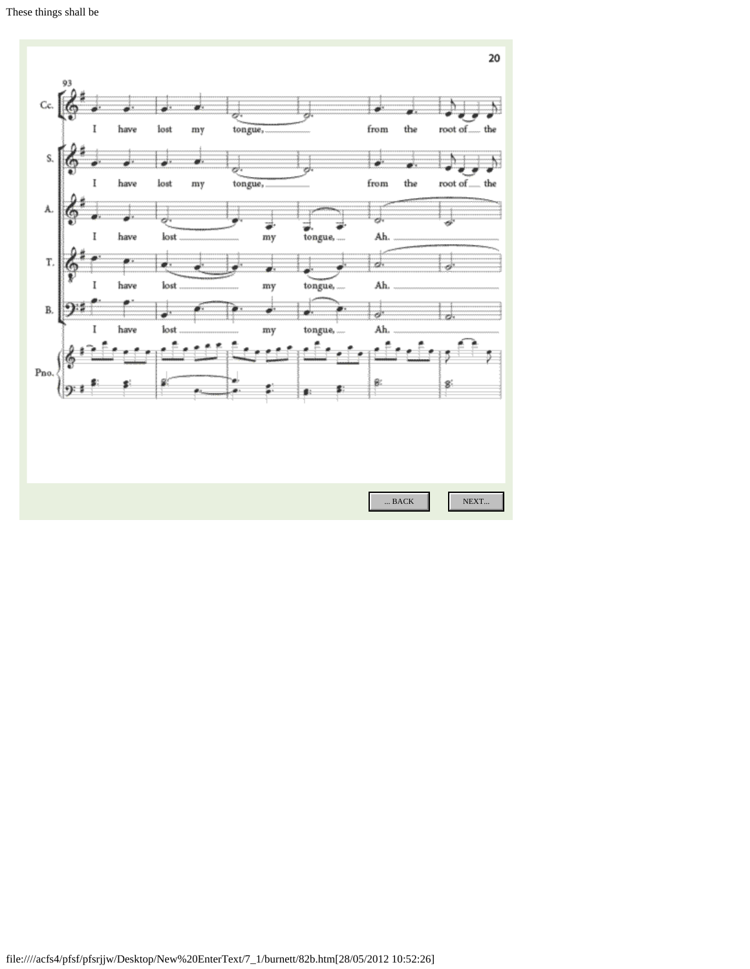These things shall be

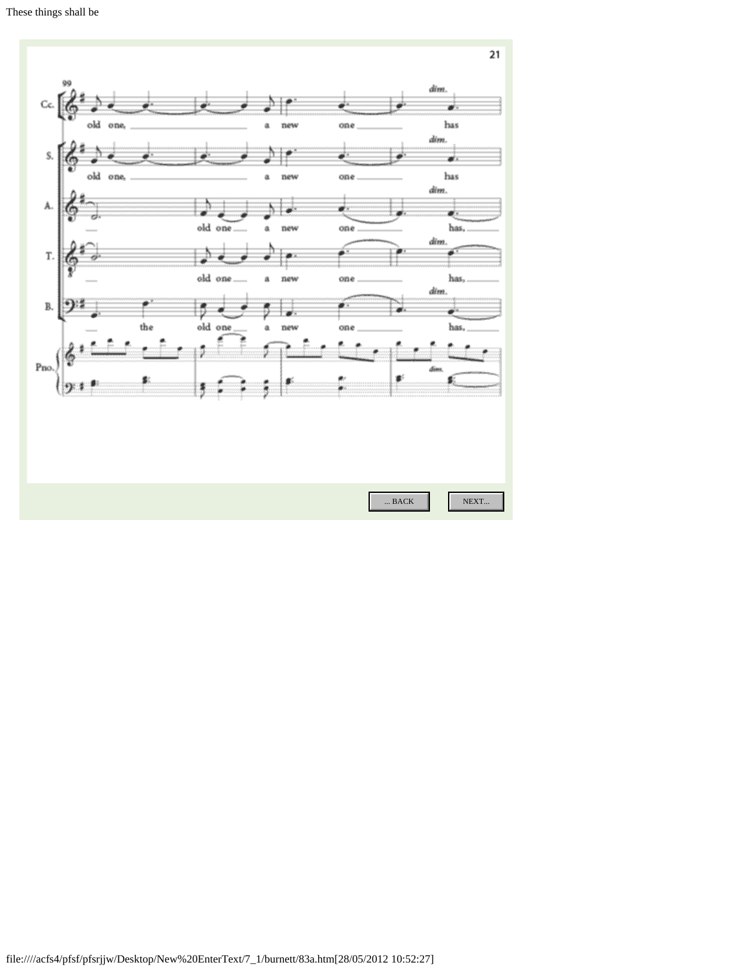These things shall be